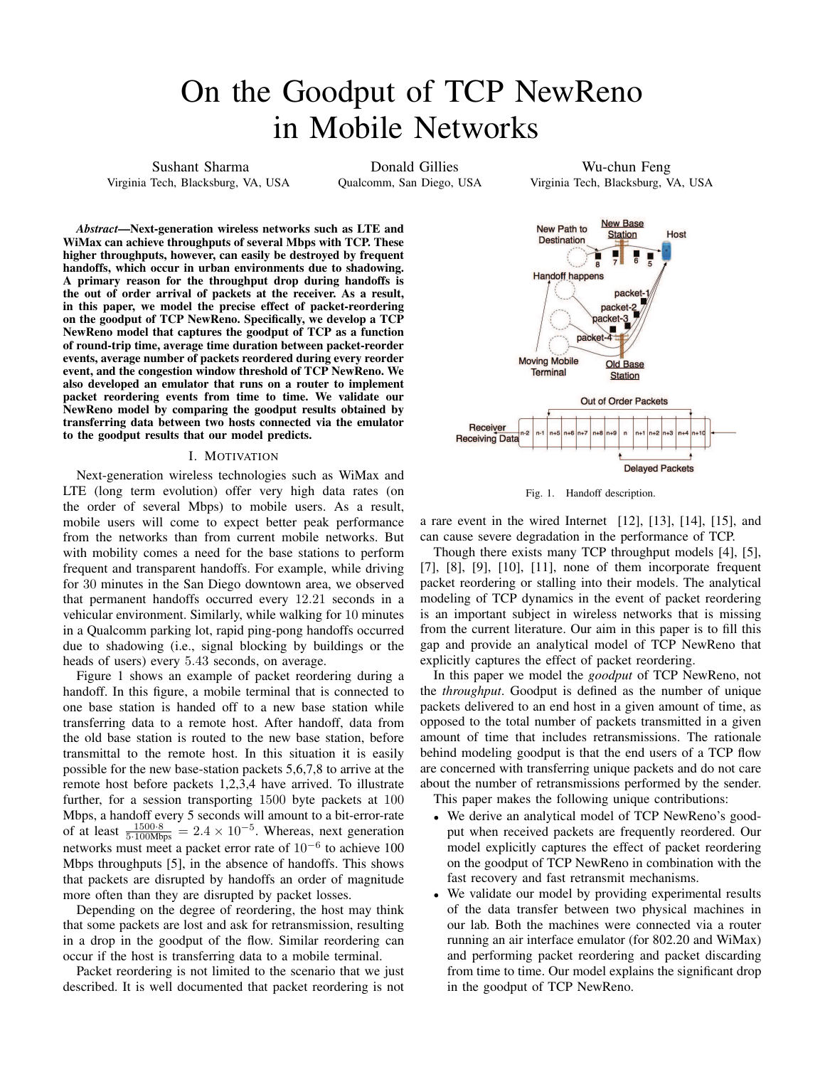# On the Goodput of TCP NewReno in Mobile Networks

Sushant Sharma Virginia Tech, Blacksburg, VA, USA

Donald Gillies Qualcomm, San Diego, USA

Wu-chun Feng Virginia Tech, Blacksburg, VA, USA

*Abstract*—Next-generation wireless networks such as LTE and WiMax can achieve throughputs of several Mbps with TCP. These higher throughputs, however, can easily be destroyed by frequent handoffs, which occur in urban environments due to shadowing. A primary reason for the throughput drop during handoffs is the out of order arrival of packets at the receiver. As a result, in this paper, we model the precise effect of packet-reordering on the goodput of TCP NewReno. Specifically, we develop a TCP NewReno model that captures the goodput of TCP as a function of round-trip time, average time duration between packet-reorder events, average number of packets reordered during every reorder event, and the congestion window threshold of TCP NewReno. We also developed an emulator that runs on a router to implement packet reordering events from time to time. We validate our NewReno model by comparing the goodput results obtained by transferring data between two hosts connected via the emulator to the goodput results that our model predicts.

## I. MOTIVATION

Next-generation wireless technologies such as WiMax and LTE (long term evolution) offer very high data rates (on the order of several Mbps) to mobile users. As a result, mobile users will come to expect better peak performance from the networks than from current mobile networks. But with mobility comes a need for the base stations to perform frequent and transparent handoffs. For example, while driving for 30 minutes in the San Diego downtown area, we observed that permanent handoffs occurred every 12.21 seconds in a vehicular environment. Similarly, while walking for 10 minutes in a Qualcomm parking lot, rapid ping-pong handoffs occurred due to shadowing (i.e., signal blocking by buildings or the heads of users) every 5.43 seconds, on average.

Figure 1 shows an example of packet reordering during a handoff. In this figure, a mobile terminal that is connected to one base station is handed off to a new base station while transferring data to a remote host. After handoff, data from the old base station is routed to the new base station, before transmittal to the remote host. In this situation it is easily possible for the new base-station packets 5,6,7,8 to arrive at the remote host before packets 1,2,3,4 have arrived. To illustrate further, for a session transporting 1500 byte packets at 100 Mbps, a handoff every 5 seconds will amount to a bit-error-rate of at least  $\frac{1500 \cdot 8}{5 \cdot 100 \text{Mbps}} = 2.4 \times 10^{-5}$ . Whereas, next generation networks must meet a packet error rate of 10<sup>-6</sup> to achieve 100 Mbps throughputs [5], in the absence of handoffs. This shows that packets are disrupted by handoffs an order of magnitude more often than they are disrupted by packet losses.

Depending on the degree of reordering, the host may think that some packets are lost and ask for retransmission, resulting in a drop in the goodput of the flow. Similar reordering can occur if the host is transferring data to a mobile terminal.

Packet reordering is not limited to the scenario that we just described. It is well documented that packet reordering is not



Fig. 1. Handoff description.

a rare event in the wired Internet [12], [13], [14], [15], and can cause severe degradation in the performance of TCP.

Though there exists many TCP throughput models [4], [5], [7], [8], [9], [10], [11], none of them incorporate frequent packet reordering or stalling into their models. The analytical modeling of TCP dynamics in the event of packet reordering is an important subject in wireless networks that is missing from the current literature. Our aim in this paper is to fill this gap and provide an analytical model of TCP NewReno that explicitly captures the effect of packet reordering.

In this paper we model the *goodput* of TCP NewReno, not the *throughput*. Goodput is defined as the number of unique packets delivered to an end host in a given amount of time, as opposed to the total number of packets transmitted in a given amount of time that includes retransmissions. The rationale behind modeling goodput is that the end users of a TCP flow are concerned with transferring unique packets and do not care about the number of retransmissions performed by the sender.

This paper makes the following unique contributions:

- We derive an analytical model of TCP NewReno's goodput when received packets are frequently reordered. Our model explicitly captures the effect of packet reordering on the goodput of TCP NewReno in combination with the fast recovery and fast retransmit mechanisms.
- We validate our model by providing experimental results of the data transfer between two physical machines in our lab. Both the machines were connected via a router running an air interface emulator (for 802.20 and WiMax) and performing packet reordering and packet discarding from time to time. Our model explains the significant drop in the goodput of TCP NewReno.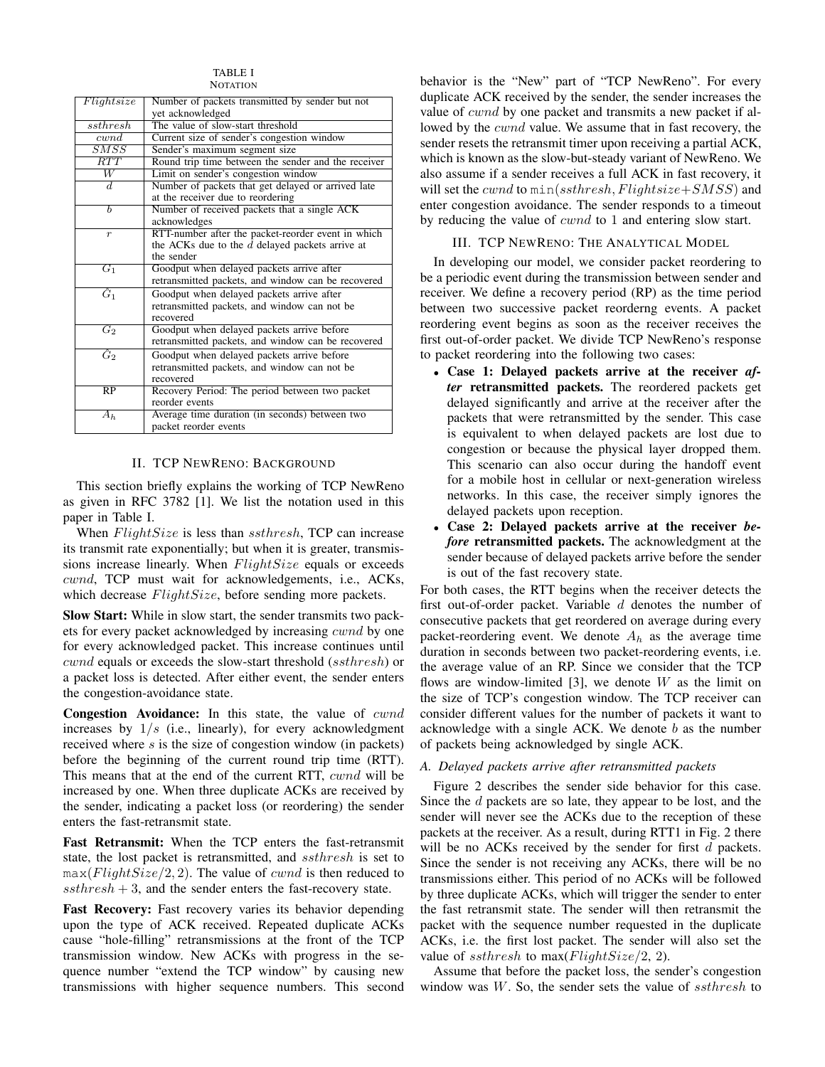TABLE I **NOTATION** 

| Number of packets transmitted by sender but not<br>Flightsize<br>yet acknowledged<br>The value of slow-start threshold<br><i>ssthresh</i><br>Current size of sender's congestion window<br>cwnd<br>$\mathcal{S}MSS$<br>Sender's maximum segment size<br>RTT<br>Round trip time between the sender and the receiver<br>Limit on sender's congestion window<br>W<br>Number of packets that get delayed or arrived late<br>d.<br>at the receiver due to reordering<br>Number of received packets that a single ACK<br>h<br>acknowledges<br>RTT-number after the packet-reorder event in which<br>$\boldsymbol{r}$<br>the ACKs due to the $d$ delayed packets arrive at<br>the sender<br>$\overline{G_1}$<br>Goodput when delayed packets arrive after<br>retransmitted packets, and window can be recovered<br>$\hat{G}_1$<br>Goodput when delayed packets arrive after<br>retransmitted packets, and window can not be<br>recovered<br>$\overline{G_2}$<br>Goodput when delayed packets arrive before<br>retransmitted packets, and window can be recovered<br>Ĝ۰<br>Goodput when delayed packets arrive before<br>retransmitted packets, and window can not be<br>recovered<br>Recovery Period: The period between two packet<br><b>RP</b><br>reorder events<br>Average time duration (in seconds) between two<br>$A_h$<br>packet reorder events |  |
|-------------------------------------------------------------------------------------------------------------------------------------------------------------------------------------------------------------------------------------------------------------------------------------------------------------------------------------------------------------------------------------------------------------------------------------------------------------------------------------------------------------------------------------------------------------------------------------------------------------------------------------------------------------------------------------------------------------------------------------------------------------------------------------------------------------------------------------------------------------------------------------------------------------------------------------------------------------------------------------------------------------------------------------------------------------------------------------------------------------------------------------------------------------------------------------------------------------------------------------------------------------------------------------------------------------------------------------------------|--|
|                                                                                                                                                                                                                                                                                                                                                                                                                                                                                                                                                                                                                                                                                                                                                                                                                                                                                                                                                                                                                                                                                                                                                                                                                                                                                                                                                 |  |
|                                                                                                                                                                                                                                                                                                                                                                                                                                                                                                                                                                                                                                                                                                                                                                                                                                                                                                                                                                                                                                                                                                                                                                                                                                                                                                                                                 |  |
|                                                                                                                                                                                                                                                                                                                                                                                                                                                                                                                                                                                                                                                                                                                                                                                                                                                                                                                                                                                                                                                                                                                                                                                                                                                                                                                                                 |  |
|                                                                                                                                                                                                                                                                                                                                                                                                                                                                                                                                                                                                                                                                                                                                                                                                                                                                                                                                                                                                                                                                                                                                                                                                                                                                                                                                                 |  |
|                                                                                                                                                                                                                                                                                                                                                                                                                                                                                                                                                                                                                                                                                                                                                                                                                                                                                                                                                                                                                                                                                                                                                                                                                                                                                                                                                 |  |
|                                                                                                                                                                                                                                                                                                                                                                                                                                                                                                                                                                                                                                                                                                                                                                                                                                                                                                                                                                                                                                                                                                                                                                                                                                                                                                                                                 |  |
|                                                                                                                                                                                                                                                                                                                                                                                                                                                                                                                                                                                                                                                                                                                                                                                                                                                                                                                                                                                                                                                                                                                                                                                                                                                                                                                                                 |  |
|                                                                                                                                                                                                                                                                                                                                                                                                                                                                                                                                                                                                                                                                                                                                                                                                                                                                                                                                                                                                                                                                                                                                                                                                                                                                                                                                                 |  |
|                                                                                                                                                                                                                                                                                                                                                                                                                                                                                                                                                                                                                                                                                                                                                                                                                                                                                                                                                                                                                                                                                                                                                                                                                                                                                                                                                 |  |
|                                                                                                                                                                                                                                                                                                                                                                                                                                                                                                                                                                                                                                                                                                                                                                                                                                                                                                                                                                                                                                                                                                                                                                                                                                                                                                                                                 |  |
|                                                                                                                                                                                                                                                                                                                                                                                                                                                                                                                                                                                                                                                                                                                                                                                                                                                                                                                                                                                                                                                                                                                                                                                                                                                                                                                                                 |  |
|                                                                                                                                                                                                                                                                                                                                                                                                                                                                                                                                                                                                                                                                                                                                                                                                                                                                                                                                                                                                                                                                                                                                                                                                                                                                                                                                                 |  |
|                                                                                                                                                                                                                                                                                                                                                                                                                                                                                                                                                                                                                                                                                                                                                                                                                                                                                                                                                                                                                                                                                                                                                                                                                                                                                                                                                 |  |
|                                                                                                                                                                                                                                                                                                                                                                                                                                                                                                                                                                                                                                                                                                                                                                                                                                                                                                                                                                                                                                                                                                                                                                                                                                                                                                                                                 |  |
|                                                                                                                                                                                                                                                                                                                                                                                                                                                                                                                                                                                                                                                                                                                                                                                                                                                                                                                                                                                                                                                                                                                                                                                                                                                                                                                                                 |  |
|                                                                                                                                                                                                                                                                                                                                                                                                                                                                                                                                                                                                                                                                                                                                                                                                                                                                                                                                                                                                                                                                                                                                                                                                                                                                                                                                                 |  |

## II. TCP NEWRENO: BACKGROUND

This section briefly explains the working of TCP NewReno as given in RFC 3782 [1]. We list the notation used in this paper in Table I.

When FlightSize is less than ssthresh, TCP can increase its transmit rate exponentially; but when it is greater, transmissions increase linearly. When FlightSize equals or exceeds cwnd, TCP must wait for acknowledgements, i.e., ACKs, which decrease  $FlightSize$ , before sending more packets.

Slow Start: While in slow start, the sender transmits two packets for every packet acknowledged by increasing cwnd by one for every acknowledged packet. This increase continues until cwnd equals or exceeds the slow-start threshold (ssthresh) or a packet loss is detected. After either event, the sender enters the congestion-avoidance state.

Congestion Avoidance: In this state, the value of *cwnd* increases by  $1/s$  (i.e., linearly), for every acknowledgment received where s is the size of congestion window (in packets) before the beginning of the current round trip time (RTT). This means that at the end of the current RTT, cwnd will be increased by one. When three duplicate ACKs are received by the sender, indicating a packet loss (or reordering) the sender enters the fast-retransmit state.

Fast Retransmit: When the TCP enters the fast-retransmit state, the lost packet is retransmitted, and ssthresh is set to  $max(FlightSize/2, 2)$ . The value of *cwnd* is then reduced to  $ssthresh + 3$ , and the sender enters the fast-recovery state.

Fast Recovery: Fast recovery varies its behavior depending upon the type of ACK received. Repeated duplicate ACKs cause "hole-filling" retransmissions at the front of the TCP transmission window. New ACKs with progress in the sequence number "extend the TCP window" by causing new transmissions with higher sequence numbers. This second behavior is the "New" part of "TCP NewReno". For every duplicate ACK received by the sender, the sender increases the value of cwnd by one packet and transmits a new packet if allowed by the cwnd value. We assume that in fast recovery, the sender resets the retransmit timer upon receiving a partial ACK, which is known as the slow-but-steady variant of NewReno. We also assume if a sender receives a full ACK in fast recovery, it will set the *cwnd* to  $min(ssthresh, Flight size+SMSS)$  and enter congestion avoidance. The sender responds to a timeout by reducing the value of cwnd to 1 and entering slow start.

## III. TCP NEWRENO: THE ANALYTICAL MODEL

In developing our model, we consider packet reordering to be a periodic event during the transmission between sender and receiver. We define a recovery period (RP) as the time period between two successive packet reorderng events. A packet reordering event begins as soon as the receiver receives the first out-of-order packet. We divide TCP NewReno's response to packet reordering into the following two cases:

- Case 1: Delayed packets arrive at the receiver *after* retransmitted packets. The reordered packets get delayed significantly and arrive at the receiver after the packets that were retransmitted by the sender. This case is equivalent to when delayed packets are lost due to congestion or because the physical layer dropped them. This scenario can also occur during the handoff event for a mobile host in cellular or next-generation wireless networks. In this case, the receiver simply ignores the delayed packets upon reception.
- Case 2: Delayed packets arrive at the receiver *before* retransmitted packets. The acknowledgment at the sender because of delayed packets arrive before the sender is out of the fast recovery state.

For both cases, the RTT begins when the receiver detects the first out-of-order packet. Variable  $d$  denotes the number of consecutive packets that get reordered on average during every packet-reordering event. We denote  $A_h$  as the average time duration in seconds between two packet-reordering events, i.e. the average value of an RP. Since we consider that the TCP flows are window-limited [3], we denote  $W$  as the limit on the size of TCP's congestion window. The TCP receiver can consider different values for the number of packets it want to acknowledge with a single ACK. We denote  $b$  as the number of packets being acknowledged by single ACK.

## *A. Delayed packets arrive after retransmitted packets*

Figure 2 describes the sender side behavior for this case. Since the d packets are so late, they appear to be lost, and the sender will never see the ACKs due to the reception of these packets at the receiver. As a result, during RTT1 in Fig. 2 there will be no ACKs received by the sender for first  $d$  packets. Since the sender is not receiving any ACKs, there will be no transmissions either. This period of no ACKs will be followed by three duplicate ACKs, which will trigger the sender to enter the fast retransmit state. The sender will then retransmit the packet with the sequence number requested in the duplicate ACKs, i.e. the first lost packet. The sender will also set the value of ssthresh to  $max(FlightSize/2, 2)$ .

Assume that before the packet loss, the sender's congestion window was  $W$ . So, the sender sets the value of  $ssthresh$  to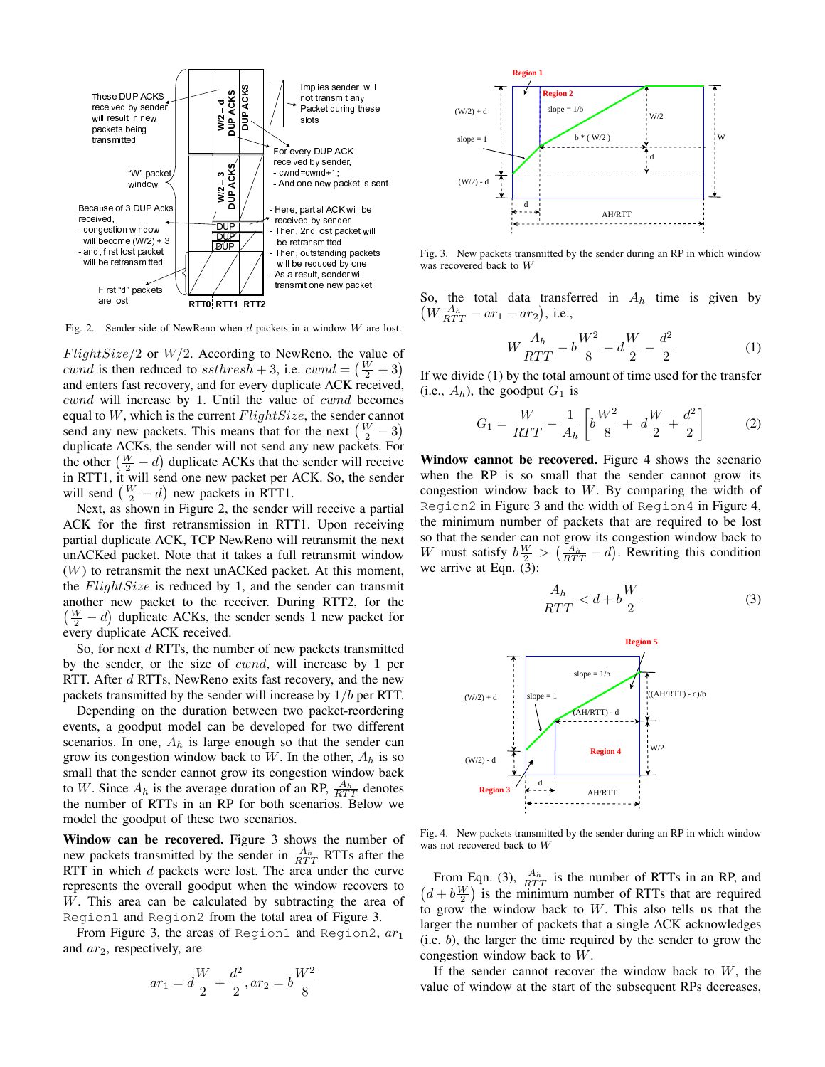

Fig. 2. Sender side of NewReno when  $d$  packets in a window  $W$  are lost.

FlightSize/2 or W/2. According to NewReno, the value of any d is then reduced to eathnoah  $\pm 3$  i.e. any d =  $(W + 3)$ *FughtSize*/2 or *W*/2. According to NewReno, the value of *cwnd* is then reduced to *ssthresh* + 3, i.e. *cwnd* =  $(\frac{W}{2} + 3)$ and enters fast recovery, and for every duplicate ACK received, cwnd will increase by 1. Until the value of cwnd becomes equal to W, which is the current  $FlightSize$ , the sender cannot equal to *w*, which is the current *F* lights that for the next  $(\frac{W}{2} - 3)$ duplicate ACKs, the sender will not send any new packets. For duplicate ACKs, the sender will not send any new packets. For<br>the other  $(\frac{W}{2} - d)$  duplicate ACKs that the sender will receive in RTT1, it will send one new packet per ACK. So, the sender in R111, it will send one new packet per  $\lambda$  will send  $(\frac{W}{2} - d)$  new packets in RTT1.

Next, as shown in Figure 2, the sender will receive a partial ACK for the first retransmission in RTT1. Upon receiving partial duplicate ACK, TCP NewReno will retransmit the next unACKed packet. Note that it takes a full retransmit window (W) to retransmit the next unACKed packet. At this moment, the  $FlightSize$  is reduced by 1, and the sender can transmit another new packet to the receiver. During RTT2, for the another new packet to the receiver. During R112, for the  $(\frac{W}{2} - d)$  duplicate ACKs, the sender sends 1 new packet for every duplicate ACK received.

So, for next d RTTs, the number of new packets transmitted by the sender, or the size of cwnd, will increase by 1 per RTT. After  $d$  RTTs, NewReno exits fast recovery, and the new packets transmitted by the sender will increase by  $1/b$  per RTT.

Depending on the duration between two packet-reordering events, a goodput model can be developed for two different scenarios. In one,  $A_h$  is large enough so that the sender can grow its congestion window back to W. In the other,  $A_h$  is so small that the sender cannot grow its congestion window back to W. Since  $A_h$  is the average duration of an RP,  $\frac{A_h}{RTT}$  denotes the number of RTTs in an RP for both scenarios. Below we model the goodput of these two scenarios.

Window can be recovered. Figure 3 shows the number of new packets transmitted by the sender in  $\frac{A_h}{RTT}$  RTTs after the RTT in which d packets were lost. The area under the curve represents the overall goodput when the window recovers to W. This area can be calculated by subtracting the area of Region1 and Region2 from the total area of Figure 3.

From Figure 3, the areas of Region1 and Region2,  $ar_1$ and  $ar_2$ , respectively, are

$$
ar_1 = d\frac{W}{2} + \frac{d^2}{2}, ar_2 = b\frac{W^2}{8}
$$



Fig. 3. New packets transmitted by the sender during an RP in which window was recovered back to W

So, the total data transferred in  $A_h$  time is given by  $W\frac{A_h}{RTT} - ar_1 - ar_2$ ), i.e.,

$$
W\frac{A_h}{RTT} - b\frac{W^2}{8} - d\frac{W}{2} - \frac{d^2}{2}
$$
 (1)

If we divide (1) by the total amount of time used for the transfer (i.e.,  $A_h$ ), the goodput  $G_1$  is

$$
G_1 = \frac{W}{RTT} - \frac{1}{A_h} \left[ b \frac{W^2}{8} + d \frac{W}{2} + \frac{d^2}{2} \right]
$$
 (2)

Window cannot be recovered. Figure 4 shows the scenario when the RP is so small that the sender cannot grow its congestion window back to  $W$ . By comparing the width of Region2 in Figure 3 and the width of Region4 in Figure 4, the minimum number of packets that are required to be lost so that the sender can not grow its congestion window back to so that the sender can not grow its congestion window back to W must satisfy  $b\frac{W}{2} > (\frac{A_h}{RTT} - d)$ . Rewriting this condition we arrive at Eqn.  $(3)$ :

$$
\frac{A_h}{RTT} < d + b\frac{W}{2} \tag{3}
$$



Fig. 4. New packets transmitted by the sender during an RP in which window was not recovered back to W

From Eqn. (3),  $\frac{A_h}{RTT}$  is the number of RTTs in an RP, and ¡  $d + b\frac{W}{2}$  is the minimum number of RTTs that are required to grow the window back to  $W$ . This also tells us that the larger the number of packets that a single ACK acknowledges (i.e. b), the larger the time required by the sender to grow the congestion window back to W.

If the sender cannot recover the window back to  $W$ , the value of window at the start of the subsequent RPs decreases,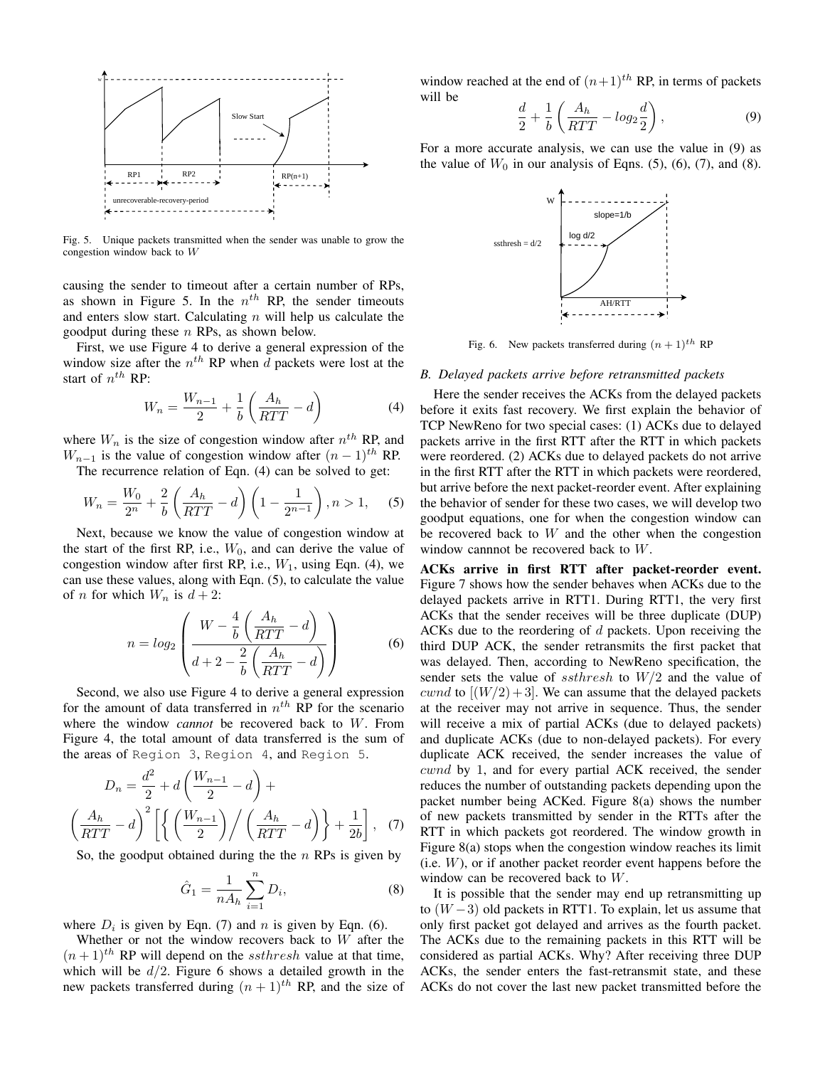

Fig. 5. Unique packets transmitted when the sender was unable to grow the congestion window back to W

causing the sender to timeout after a certain number of RPs, as shown in Figure 5. In the  $n^{th}$  RP, the sender timeouts and enters slow start. Calculating  $n$  will help us calculate the goodput during these  $n$  RPs, as shown below.

First, we use Figure 4 to derive a general expression of the window size after the  $n^{th}$  RP when d packets were lost at the start of  $n^{th}$  RP:

$$
W_n = \frac{W_{n-1}}{2} + \frac{1}{b} \left( \frac{A_h}{RTT} - d \right)
$$
 (4)

where  $W_n$  is the size of congestion window after  $n^{th}$  RP, and  $W_{n-1}$  is the value of congestion window after  $(n-1)^{th}$  RP.<br>The genus property at  $\sum_{n=1}^{\infty}$  Can  $(4)$  can be solved to get

The recurrence relation of Eqn. (4) can be solved to get:\n
$$
W = \frac{1}{2} \left( \frac{1}{2} \right)^{3/2} \left( \frac{1}{2} \right)^{3/2}
$$

$$
W_n = \frac{W_0}{2^n} + \frac{2}{b} \left( \frac{A_h}{RTT} - d \right) \left( 1 - \frac{1}{2^{n-1}} \right), n > 1, \quad (5)
$$

Next, because we know the value of congestion window at the start of the first RP, i.e.,  $W_0$ , and can derive the value of congestion window after first RP, i.e.,  $W_1$ , using Eqn. (4), we can use these values, along with Eqn. (5), to calculate the value of *n* for which  $W_n$  is  $d + 2$ :

$$
n = log_2\left(\frac{W - \frac{4}{b}\left(\frac{A_h}{RTT} - d\right)}{d + 2 - \frac{2}{b}\left(\frac{A_h}{RTT} - d\right)}\right)
$$
(6)

Second, we also use Figure 4 to derive a general expression for the amount of data transferred in  $n^{th}$  RP for the scenario where the window *cannot* be recovered back to W. From Figure 4, the total amount of data transferred is the sum of the areas of Region 3, Region 4, and Region 5.

$$
D_n = \frac{d^2}{2} + d\left(\frac{W_{n-1}}{2} - d\right) + \left(\frac{A_h}{RTT} - d\right)^2 \left[ \left\{ \left(\frac{W_{n-1}}{2}\right) / \left(\frac{A_h}{RTT} - d\right) \right\} + \frac{1}{2b} \right], \quad (7)
$$

So, the goodput obtained during the the  $n$  RPs is given by

$$
\hat{G}_1 = \frac{1}{nA_h} \sum_{i=1}^n D_i,
$$
\n(8)

where  $D_i$  is given by Eqn. (7) and n is given by Eqn. (6).

Whether or not the window recovers back to W after the  $(n+1)$ <sup>th</sup> RP will depend on the *ssthresh* value at that time, which will be  $d/2$ . Figure 6 shows a detailed growth in the new packets transferred during  $(n + 1)^{th}$  RP, and the size of window reached at the end of  $(n+1)$ <sup>th</sup> RP, in terms of packets will be  $\overline{a}$  $\mathbf{r}$ 

$$
\frac{d}{2} + \frac{1}{b} \left( \frac{A_h}{RTT} - \log_2 \frac{d}{2} \right),\tag{9}
$$

For a more accurate analysis, we can use the value in (9) as the value of  $W_0$  in our analysis of Eqns. (5), (6), (7), and (8).



Fig. 6. New packets transferred during  $(n + 1)^{th}$  RP

## *B. Delayed packets arrive before retransmitted packets*

Here the sender receives the ACKs from the delayed packets before it exits fast recovery. We first explain the behavior of TCP NewReno for two special cases: (1) ACKs due to delayed packets arrive in the first RTT after the RTT in which packets were reordered. (2) ACKs due to delayed packets do not arrive in the first RTT after the RTT in which packets were reordered, but arrive before the next packet-reorder event. After explaining the behavior of sender for these two cases, we will develop two goodput equations, one for when the congestion window can be recovered back to  $W$  and the other when the congestion window cannnot be recovered back to W.

ACKs arrive in first RTT after packet-reorder event. Figure 7 shows how the sender behaves when ACKs due to the delayed packets arrive in RTT1. During RTT1, the very first ACKs that the sender receives will be three duplicate (DUP) ACKs due to the reordering of d packets. Upon receiving the third DUP ACK, the sender retransmits the first packet that was delayed. Then, according to NewReno specification, the sender sets the value of ssthresh to  $W/2$  and the value of cwnd to  $[(W/2)+3]$ . We can assume that the delayed packets at the receiver may not arrive in sequence. Thus, the sender will receive a mix of partial ACKs (due to delayed packets) and duplicate ACKs (due to non-delayed packets). For every duplicate ACK received, the sender increases the value of cwnd by 1, and for every partial ACK received, the sender reduces the number of outstanding packets depending upon the packet number being ACKed. Figure 8(a) shows the number of new packets transmitted by sender in the RTTs after the RTT in which packets got reordered. The window growth in Figure 8(a) stops when the congestion window reaches its limit (i.e. W), or if another packet reorder event happens before the window can be recovered back to W.

It is possible that the sender may end up retransmitting up to  $(W-3)$  old packets in RTT1. To explain, let us assume that only first packet got delayed and arrives as the fourth packet. The ACKs due to the remaining packets in this RTT will be considered as partial ACKs. Why? After receiving three DUP ACKs, the sender enters the fast-retransmit state, and these ACKs do not cover the last new packet transmitted before the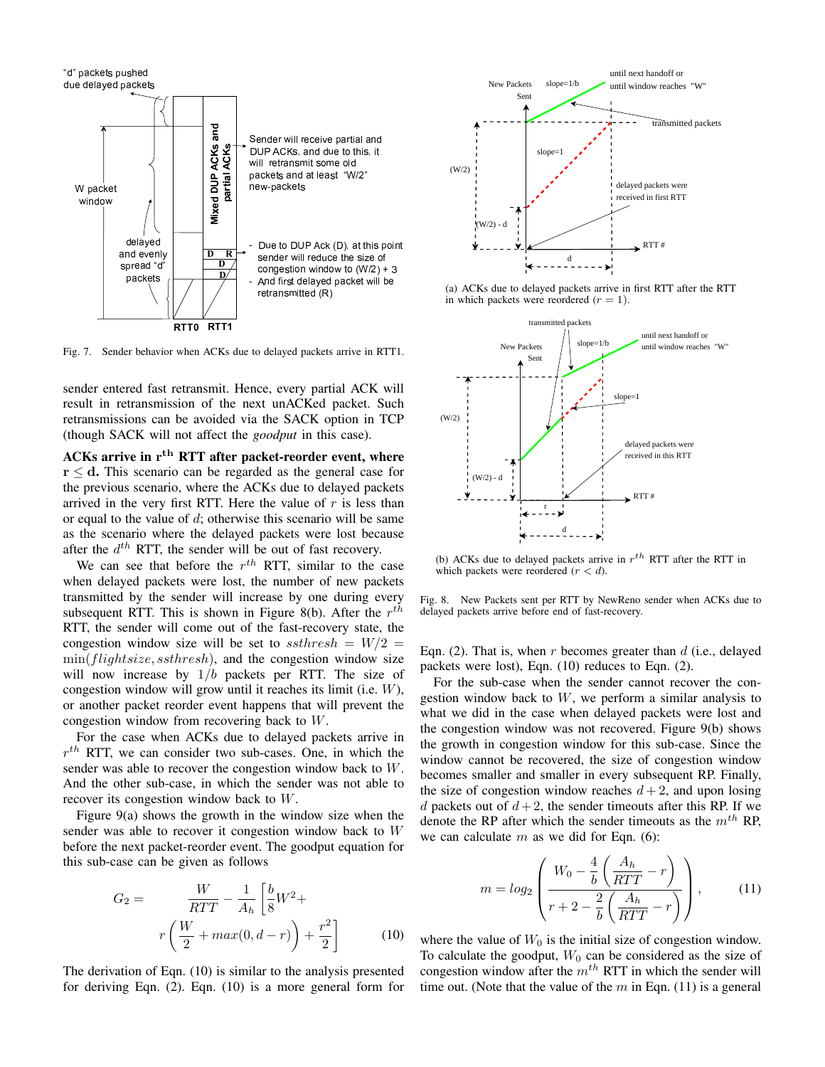

Fig. 7. Sender behavior when ACKs due to delayed packets arrive in RTT1.

sender entered fast retransmit. Hence, every partial ACK will result in retransmission of the next unACKed packet. Such retransmissions can be avoided via the SACK option in TCP (though SACK will not affect the *goodput* in this case).

ACKs arrive in r<sup>th</sup> RTT after packet-reorder event, where  $r \le d$ . This scenario can be regarded as the general case for the previous scenario, where the ACKs due to delayed packets arrived in the very first RTT. Here the value of  $r$  is less than or equal to the value of  $d$ ; otherwise this scenario will be same as the scenario where the delayed packets were lost because after the  $d^{th}$  RTT, the sender will be out of fast recovery.

We can see that before the  $r^{th}$  RTT, similar to the case when delayed packets were lost, the number of new packets transmitted by the sender will increase by one during every subsequent RTT. This is shown in Figure 8(b). After the  $r^{th}$ RTT, the sender will come out of the fast-recovery state, the congestion window size will be set to  $ssthresh = W/2 =$  $\min(flight size, ssthresh)$ , and the congestion window size will now increase by  $1/b$  packets per RTT. The size of congestion window will grow until it reaches its limit (i.e. W), or another packet reorder event happens that will prevent the congestion window from recovering back to W. **Example 19** absorption of the second of the second of the second of the second of the second of the second of the second of the second of the second of the second of the second of the second of the second of the second o

For the case when ACKs due to delayed packets arrive in  $r^{th}$  RTT, we can consider two sub-cases. One, in which the sender was able to recover the congestion window back to W. And the other sub-case, in which the sender was not able to recover its congestion window back to W.

Figure 9(a) shows the growth in the window size when the sender was able to recover it congestion window back to W before the next packet-reorder event. The goodput equation for this sub-case can be given as follows

$$
G_2 = \frac{W}{RTT} - \frac{1}{A_h} \left[ \frac{b}{8} W^2 + r \left( \frac{W}{2} + \max(0, d - r) \right) + \frac{r^2}{2} \right]
$$
(10)

The derivation of Eqn. (10) is similar to the analysis presented



(a) ACKs due to delayed packets arrive in first RTT after the RTT in which packets were reordered  $(r = 1)$ .



(b) ACKs due to delayed packets arrive in  $r^{th}$  RTT after the RTT in which packets were reordered  $(r < d)$ .

Fig. 8. New Packets sent per RTT by NewReno sender when ACKs due to delayed packets arrive before end of fast-recovery.

Eqn. (2). That is, when r becomes greater than  $d$  (i.e., delayed packets were lost), Eqn. (10) reduces to Eqn. (2).

For the sub-case when the sender cannot recover the congestion window back to  $W$ , we perform a similar analysis to what we did in the case when delayed packets were lost and the congestion window was not recovered. Figure 9(b) shows the growth in congestion window for this sub-case. Since the window cannot be recovered, the size of congestion window becomes smaller and smaller in every subsequent RP. Finally, the size of congestion window reaches  $d + 2$ , and upon losing d packets out of  $d+2$ , the sender timeouts after this RP. If we denote the RP after which the sender timeouts as the  $m<sup>th</sup>$  RP, we can calculate  $m$  as we did for Eqn. (6):

$$
m = log_2\left(\frac{W_0 - \frac{4}{b}\left(\frac{A_h}{RTT} - r\right)}{r + 2 - \frac{2}{b}\left(\frac{A_h}{RTT} - r\right)}\right),\tag{11}
$$

where the value of  $W_0$  is the initial size of congestion window. To calculate the goodput,  $W_0$  can be considered as the size of congestion window after the  $m^{th}$  RTT in which the sender will time out. (Note that the value of the  $m$  in Eqn. (11) is a general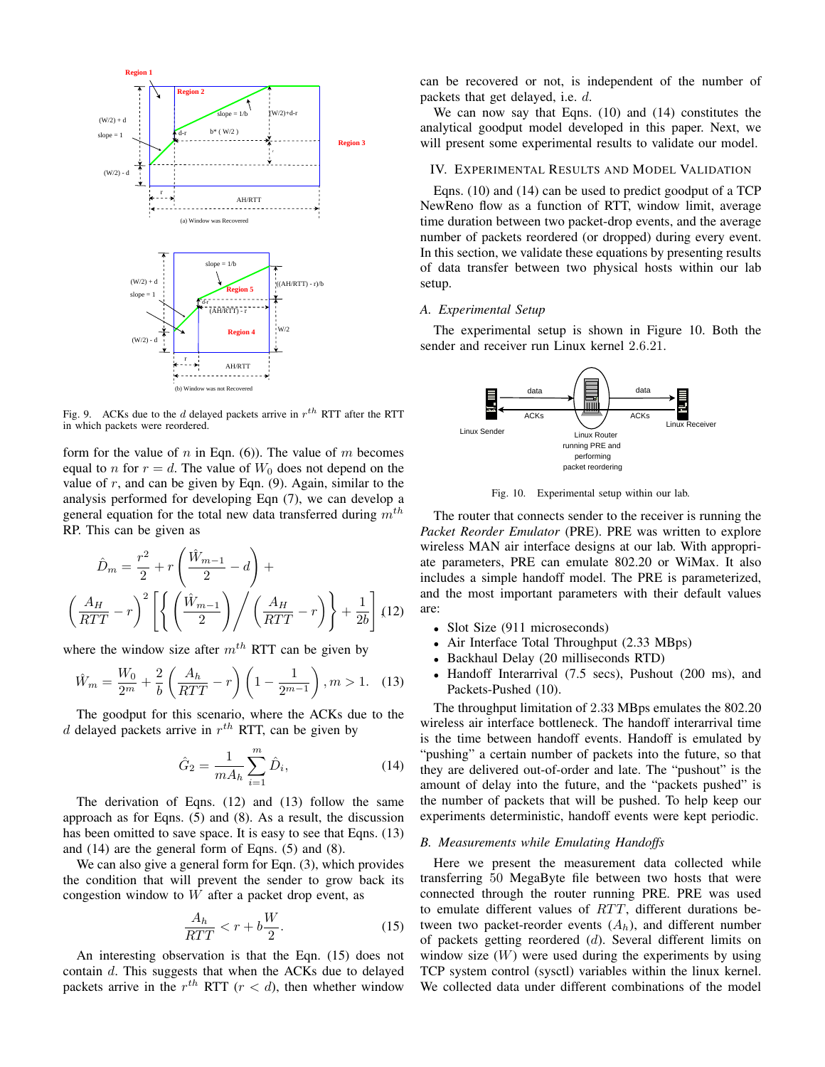

Fig. 9. ACKs due to the d delayed packets arrive in  $r^{th}$  RTT after the RTT in which packets were reordered.

form for the value of n in Eqn. (6)). The value of  $m$  becomes equal to *n* for  $r = d$ . The value of  $W_0$  does not depend on the value of  $r$ , and can be given by Eqn. (9). Again, similar to the analysis performed for developing Eqn (7), we can develop a general equation for the total new data transferred during  $m^{th}$ RP. This can be given as

$$
\hat{D}_m = \frac{r^2}{2} + r \left( \frac{\hat{W}_{m-1}}{2} - d \right) + \left( \frac{A_H}{RTT} - r \right)^2 \left[ \left\{ \left( \frac{\hat{W}_{m-1}}{2} \right) / \left( \frac{A_H}{RTT} - r \right) \right\} + \frac{1}{2b} \right] (12)
$$

where the window size after  $m^{th}$  RTT can be given by

$$
\hat{W}_m = \frac{W_0}{2^m} + \frac{2}{b} \left( \frac{A_h}{RTT} - r \right) \left( 1 - \frac{1}{2^{m-1}} \right), m > 1. \quad (13)
$$

The goodput for this scenario, where the ACKs due to the d delayed packets arrive in  $r^{th}$  RTT, can be given by

$$
\hat{G}_2 = \frac{1}{mA_h} \sum_{i=1}^{m} \hat{D}_i,
$$
\n(14)

The derivation of Eqns. (12) and (13) follow the same approach as for Eqns. (5) and (8). As a result, the discussion has been omitted to save space. It is easy to see that Eqns. (13) and (14) are the general form of Eqns. (5) and (8).

We can also give a general form for Eqn. (3), which provides the condition that will prevent the sender to grow back its congestion window to  $W$  after a packet drop event, as

$$
\frac{A_h}{RTT} < r + b\frac{W}{2}.\tag{15}
$$

An interesting observation is that the Eqn. (15) does not contain d. This suggests that when the ACKs due to delayed packets arrive in the  $r^{th}$  RTT ( $r < d$ ), then whether window

can be recovered or not, is independent of the number of packets that get delayed, i.e. d.

We can now say that Eqns. (10) and (14) constitutes the analytical goodput model developed in this paper. Next, we will present some experimental results to validate our model.

## IV. EXPERIMENTAL RESULTS AND MODEL VALIDATION

Eqns. (10) and (14) can be used to predict goodput of a TCP NewReno flow as a function of RTT, window limit, average time duration between two packet-drop events, and the average number of packets reordered (or dropped) during every event. In this section, we validate these equations by presenting results of data transfer between two physical hosts within our lab setup.

## *A. Experimental Setup*

The experimental setup is shown in Figure 10. Both the sender and receiver run Linux kernel 2.6.21.



Fig. 10. Experimental setup within our lab.

The router that connects sender to the receiver is running the *Packet Reorder Emulator* (PRE). PRE was written to explore wireless MAN air interface designs at our lab. With appropriate parameters, PRE can emulate 802.20 or WiMax. It also includes a simple handoff model. The PRE is parameterized, and the most important parameters with their default values are:

- Slot Size (911 microseconds)
- Air Interface Total Throughput (2.33 MBps)
- Backhaul Delay (20 milliseconds RTD)
- Handoff Interarrival (7.5 secs), Pushout (200 ms), and Packets-Pushed (10).

The throughput limitation of 2.33 MBps emulates the 802.20 wireless air interface bottleneck. The handoff interarrival time is the time between handoff events. Handoff is emulated by "pushing" a certain number of packets into the future, so that they are delivered out-of-order and late. The "pushout" is the amount of delay into the future, and the "packets pushed" is the number of packets that will be pushed. To help keep our experiments deterministic, handoff events were kept periodic.

## *B. Measurements while Emulating Handoffs*

Here we present the measurement data collected while transferring 50 MegaByte file between two hosts that were connected through the router running PRE. PRE was used to emulate different values of  $RTT$ , different durations between two packet-reorder events  $(A_h)$ , and different number of packets getting reordered (d). Several different limits on window size  $(W)$  were used during the experiments by using TCP system control (sysctl) variables within the linux kernel. We collected data under different combinations of the model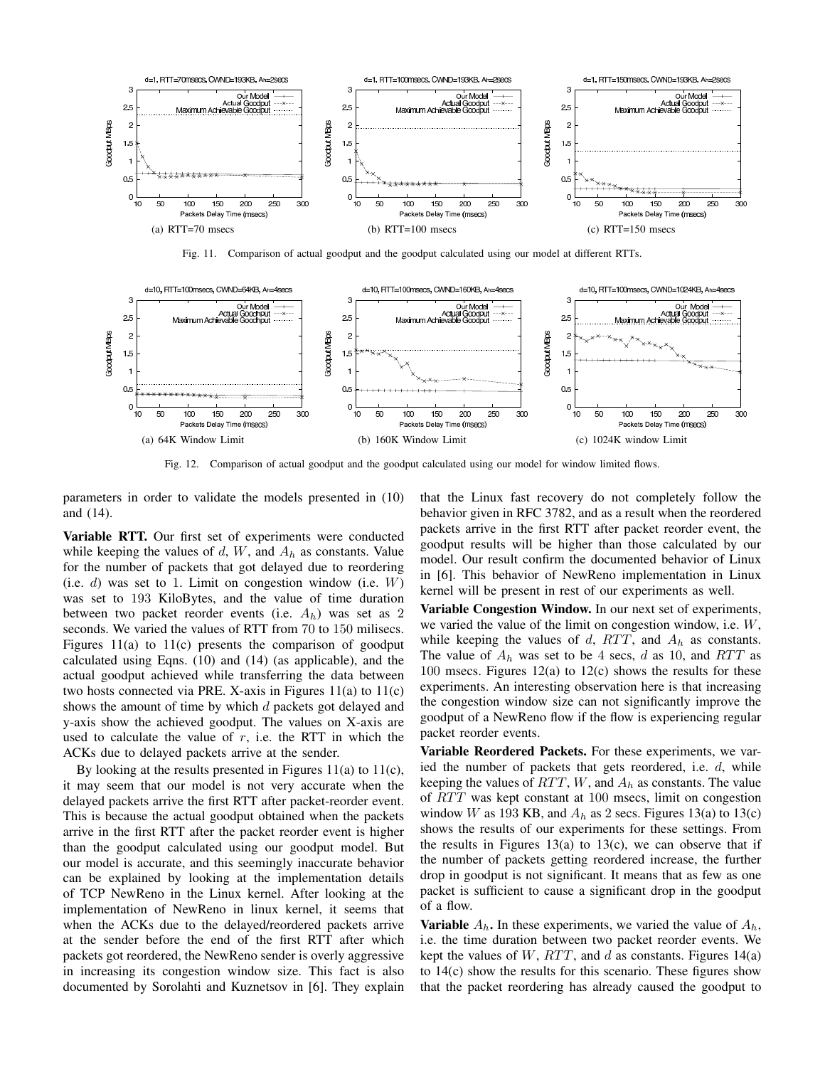

Fig. 11. Comparison of actual goodput and the goodput calculated using our model at different RTTs.



Fig. 12. Comparison of actual goodput and the goodput calculated using our model for window limited flows.

parameters in order to validate the models presented in (10) and (14).

Variable RTT. Our first set of experiments were conducted while keeping the values of  $d$ ,  $W$ , and  $A<sub>h</sub>$  as constants. Value for the number of packets that got delayed due to reordering (i.e.  $d$ ) was set to 1. Limit on congestion window (i.e.  $W$ ) was set to 193 KiloBytes, and the value of time duration between two packet reorder events (i.e.  $A<sub>h</sub>$ ) was set as 2 seconds. We varied the values of RTT from 70 to 150 milisecs. Figures 11(a) to 11(c) presents the comparison of goodput calculated using Eqns. (10) and (14) (as applicable), and the actual goodput achieved while transferring the data between two hosts connected via PRE. X-axis in Figures 11(a) to 11(c) shows the amount of time by which d packets got delayed and y-axis show the achieved goodput. The values on X-axis are used to calculate the value of  $r$ , i.e. the RTT in which the ACKs due to delayed packets arrive at the sender.

By looking at the results presented in Figures 11(a) to 11(c), it may seem that our model is not very accurate when the delayed packets arrive the first RTT after packet-reorder event. This is because the actual goodput obtained when the packets arrive in the first RTT after the packet reorder event is higher than the goodput calculated using our goodput model. But our model is accurate, and this seemingly inaccurate behavior can be explained by looking at the implementation details of TCP NewReno in the Linux kernel. After looking at the implementation of NewReno in linux kernel, it seems that when the ACKs due to the delayed/reordered packets arrive at the sender before the end of the first RTT after which packets got reordered, the NewReno sender is overly aggressive in increasing its congestion window size. This fact is also documented by Sorolahti and Kuznetsov in [6]. They explain that the Linux fast recovery do not completely follow the behavior given in RFC 3782, and as a result when the reordered packets arrive in the first RTT after packet reorder event, the goodput results will be higher than those calculated by our model. Our result confirm the documented behavior of Linux in [6]. This behavior of NewReno implementation in Linux kernel will be present in rest of our experiments as well.

Variable Congestion Window. In our next set of experiments, we varied the value of the limit on congestion window, i.e. W, while keeping the values of  $d$ ,  $RTT$ , and  $A<sub>h</sub>$  as constants. The value of  $A_h$  was set to be 4 secs, d as 10, and RTT as 100 msecs. Figures 12(a) to 12(c) shows the results for these experiments. An interesting observation here is that increasing the congestion window size can not significantly improve the goodput of a NewReno flow if the flow is experiencing regular packet reorder events.

Variable Reordered Packets. For these experiments, we varied the number of packets that gets reordered, i.e. d, while keeping the values of  $RTT$ , W, and  $A<sub>h</sub>$  as constants. The value of  $RTT$  was kept constant at 100 msecs, limit on congestion window W as 193 KB, and  $A_h$  as 2 secs. Figures 13(a) to 13(c) shows the results of our experiments for these settings. From the results in Figures  $13(a)$  to  $13(c)$ , we can observe that if the number of packets getting reordered increase, the further drop in goodput is not significant. It means that as few as one packet is sufficient to cause a significant drop in the goodput of a flow.

**Variable**  $A_h$ . In these experiments, we varied the value of  $A_h$ , i.e. the time duration between two packet reorder events. We kept the values of W,  $RTT$ , and d as constants. Figures 14(a) to 14(c) show the results for this scenario. These figures show that the packet reordering has already caused the goodput to